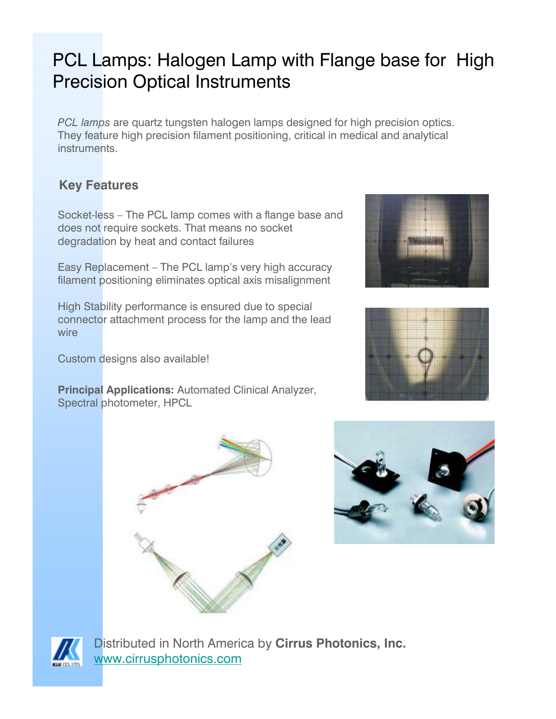## PCL Lamps: Halogen Lamp with Flange base for High Precision Optical Instruments

PCL lamps are quartz tungsten halogen lamps designed for high precision optics. They feature high precision filament positioning, critical in medical and analytical instruments.

## Key Features

Socket-less – The PCL lamp comes with a flange base and does not require sockets. That means no socket degradation by heat and contact failures

Easy Replacement – The PCL lamp's very high accuracy filament positioning eliminates optical axis misalignment

High Stability performance is ensured due to special connector attachment process for the lamp and the lead wire

Custom designs also available!

Principal Applications: Automated Clinical Analyzer, Spectral photometer, HPCL











Distributed in North America by Cirrus Photonics, Inc. www.cirrusphotonics.com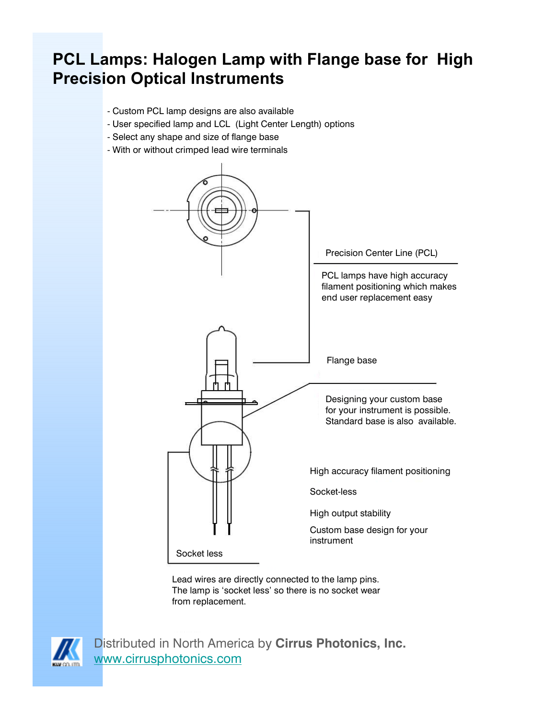## PCL Lamps: Halogen Lamp with Flange base for High Precision Optical Instruments

- Custom PCL lamp designs are also available
- User specified lamp and LCL (Light Center Length) options
- Select any shape and size of flange base
- With or without crimped lead wire terminals



Lead wires are directly connected to the lamp pins. The lamp is 'socket less' so there is no socket wear from replacement.



Distributed in North America by Cirrus Photonics, Inc. www.cirrusphotonics.com